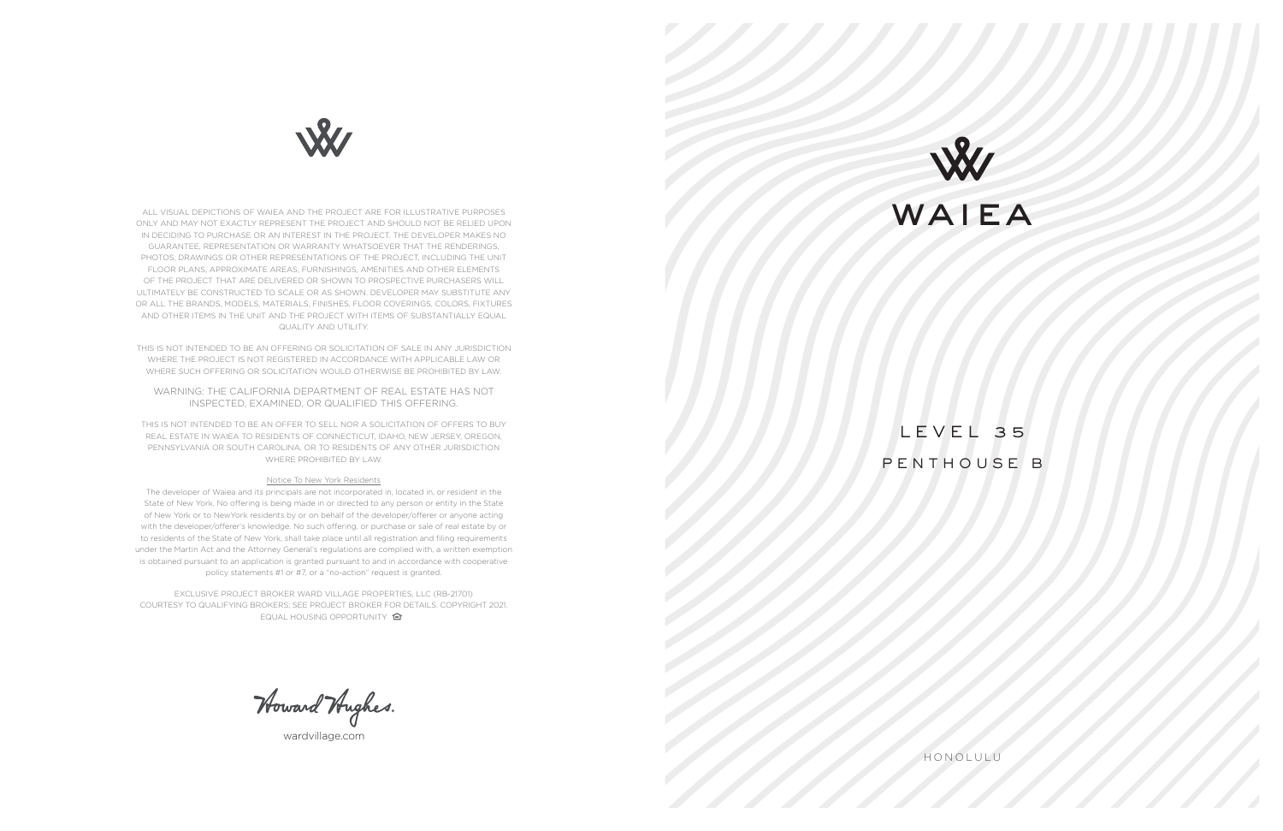HONOLULU

LEVEL 35 PENTHOUSE B



wardvillage.com



ALL VISUAL DEPICTIONS OF WAIEA AND THE PROJECT ARE FOR ILLUSTRATIVE PURPOSES ONLY AND MAY NOT EXACTLY REPRESENT THE PROJECT AND SHOULD NOT BE RELIED UPON IN DECIDING TO PURCHASE OR AN INTEREST IN THE PROJECT. THE DEVELOPER MAKES NO GUARANTEE, REPRESENTATION OR WARRANTY WHATSOEVER THAT THE RENDERINGS, PHOTOS, DRAWINGS OR OTHER REPRESENTATIONS OF THE PROJECT, INCLUDING THE UNIT FLOOR PLANS, APPROXIMATE AREAS, FURNISHINGS, AMENITIES AND OTHER ELEMENTS OF THE PROJECT THAT ARE DELIVERED OR SHOWN TO PROSPECTIVE PURCHASERS WILL ULTIMATELY BE CONSTRUCTED TO SCALE OR AS SHOWN. DEVELOPER MAY SUBSTITUTE ANY OR ALL THE BRANDS, MODELS, MATERIALS, FINISHES, FLOOR COVERINGS, COLORS, FIXTURES AND OTHER ITEMS IN THE UNIT AND THE PROJECT WITH ITEMS OF SUBSTANTIALLY EQUAL QUALITY AND UTILITY.

THIS IS NOT INTENDED TO BE AN OFFERING OR SOLICITATION OF SALE IN ANY JURISDICTION WHERE THE PROJECT IS NOT REGISTERED IN ACCORDANCE WITH APPLICABLE LAW OR WHERE SUCH OFFERING OR SOLICITATION WOULD OTHERWISE BE PROHIBITED BY LAW.

EXCLUSIVE PROJECT BROKER WARD VILLAGE PROPERTIES, LLC (RB-21701) COURTESY TO QUALIFYING BROKERS; SEE PROJECT BROKER FOR DETAILS. COPYRIGHT 2021. EQUAL HOUSING OPPORTUNITY **合** 

Howard Hughes.

WARNING: THE CALIFORNIA DEPARTMENT OF REAL ESTATE HAS NOT INSPECTED, EXAMINED, OR QUALIFIED THIS OFFERING.

THIS IS NOT INTENDED TO BE AN OFFER TO SELL NOR A SOLICITATION OF OFFERS TO BUY REAL ESTATE IN WAIEA TO RESIDENTS OF CONNECTICUT, IDAHO, NEW JERSEY, OREGON, PENNSYLVANIA OR SOUTH CAROLINA, OR TO RESIDENTS OF ANY OTHER JURISDICTION WHERE PROHIBITED BY LAW.

## Notice To New York Residents

The developer of Waiea and its principals are not incorporated in, located in, or resident in the State of New York. No offering is being made in or directed to any person or entity in the State of New York or to NewYork residents by or on behalf of the developer/offerer or anyone acting with the developer/offerer's knowledge. No such offering, or purchase or sale of real estate by or to residents of the State of New York, shall take place until all registration and filing requirements under the Martin Act and the Attorney General's regulations are complied with, a written exemption is obtained pursuant to an application is granted pursuant to and in accordance with cooperative policy statements #1 or #7, or a "no-action" request is granted.